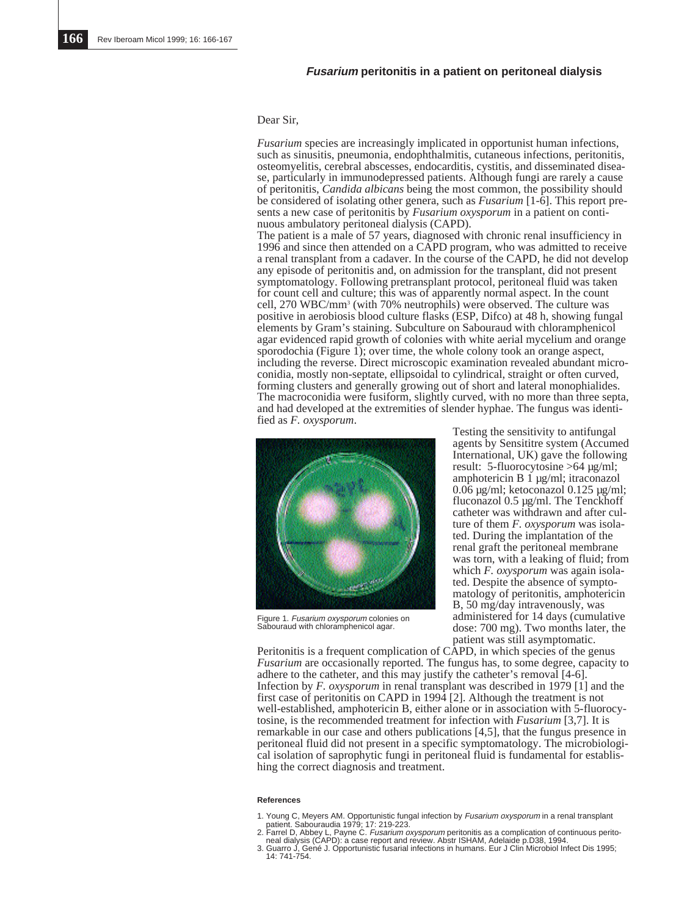# **Fusarium peritonitis in a patient on peritoneal dialysis**

# Dear Sir,

*Fusarium* species are increasingly implicated in opportunist human infections, such as sinusitis, pneumonia, endophthalmitis, cutaneous infections, peritonitis, osteomyelitis, cerebral abscesses, endocarditis, cystitis, and disseminated disease, particularly in immunodepressed patients. Although fungi are rarely a cause of peritonitis, *Candida albicans* being the most common, the possibility should be considered of isolating other genera, such as *Fusarium* [1-6]. This report presents a new case of peritonitis by *Fusarium oxysporum* in a patient on continuous ambulatory peritoneal dialysis (CAPD).

The patient is a male of 57 years, diagnosed with chronic renal insufficiency in 1996 and since then attended on a CAPD program, who was admitted to receive a renal transplant from a cadaver. In the course of the CAPD, he did not develop any episode of peritonitis and, on admission for the transplant, did not present symptomatology. Following pretransplant protocol, peritoneal fluid was taken for count cell and culture; this was of apparently normal aspect. In the count cell, 270 WBC/mm3 (with 70% neutrophils) were observed. The culture was positive in aerobiosis blood culture flasks (ESP, Difco) at 48 h, showing fungal elements by Gram's staining. Subculture on Sabouraud with chloramphenicol agar evidenced rapid growth of colonies with white aerial mycelium and orange sporodochia (Figure 1); over time, the whole colony took an orange aspect, including the reverse. Direct microscopic examination revealed abundant microconidia, mostly non-septate, ellipsoidal to cylindrical, straight or often curved, forming clusters and generally growing out of short and lateral monophialides. The macroconidia were fusiform, slightly curved, with no more than three septa, and had developed at the extremities of slender hyphae. The fungus was identified as *F. oxysporum*.



Figure 1. Fusarium oxysporum colonies on Sabouraud with chloramphenicol agar.

Testing the sensitivity to antifungal agents by Sensititre system (Accumed International, UK) gave the following result: 5-fluorocytosine >64 µg/ml; amphotericin B 1 µg/ml; itraconazol 0.06 µg/ml; ketoconazol 0.125 µg/ml; fluconazol 0.5 µg/ml. The Tenckhoff catheter was withdrawn and after culture of them *F. oxysporum* was isolated. During the implantation of the renal graft the peritoneal membrane was torn, with a leaking of fluid; from which *F. oxysporum* was again isolated. Despite the absence of symptomatology of peritonitis, amphotericin B, 50 mg/day intravenously, was administered for 14 days (cumulative dose: 700 mg). Two months later, the patient was still asymptomatic.

Peritonitis is a frequent complication of CAPD, in which species of the genus *Fusarium* are occasionally reported. The fungus has, to some degree, capacity to adhere to the catheter, and this may justify the catheter's removal [4-6]. Infection by *F. oxysporum* in renal transplant was described in 1979 [1] and the first case of peritonitis on CAPD in 1994 [2]. Although the treatment is not well-established, amphotericin B, either alone or in association with 5-fluorocytosine, is the recommended treatment for infection with *Fusarium* [3,7]. It is remarkable in our case and others publications [4,5], that the fungus presence in peritoneal fluid did not present in a specific symptomatology. The microbiological isolation of saprophytic fungi in peritoneal fluid is fundamental for establishing the correct diagnosis and treatment.

### **References**

- 1. Young C, Meyers AM. Opportunistic fungal infection by *Fusarium oxysporum* in a renal transplant<br>patient. Sabouraudia 1979; 17: 219-223.<br>2. Farrel D, Abbey L, Payne C. *Fusarium oxysporum* peritonitis as a complication
- 
- 3. Guarro J, Gené J. Opportunistic fusarial infections in humans. Eur J Clin Microbiol Infect Dis 1995; 14: 741-754.